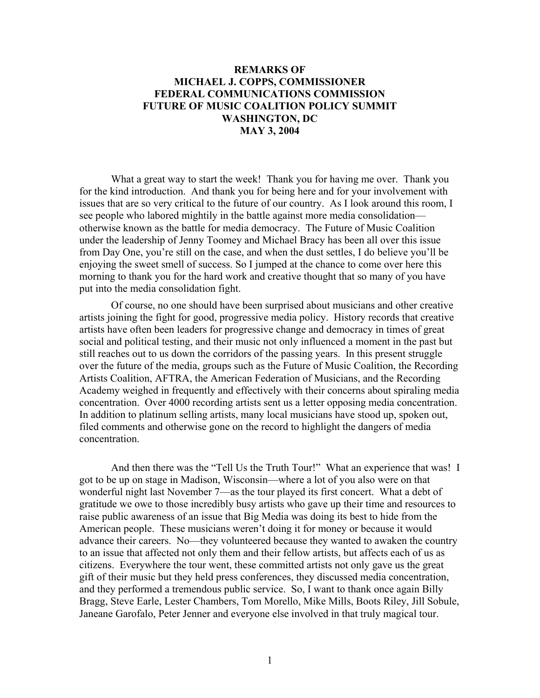## **REMARKS OF MICHAEL J. COPPS, COMMISSIONER FEDERAL COMMUNICATIONS COMMISSION FUTURE OF MUSIC COALITION POLICY SUMMIT WASHINGTON, DC MAY 3, 2004**

What a great way to start the week! Thank you for having me over. Thank you for the kind introduction. And thank you for being here and for your involvement with issues that are so very critical to the future of our country. As I look around this room, I see people who labored mightily in the battle against more media consolidation otherwise known as the battle for media democracy. The Future of Music Coalition under the leadership of Jenny Toomey and Michael Bracy has been all over this issue from Day One, you're still on the case, and when the dust settles, I do believe you'll be enjoying the sweet smell of success. So I jumped at the chance to come over here this morning to thank you for the hard work and creative thought that so many of you have put into the media consolidation fight.

Of course, no one should have been surprised about musicians and other creative artists joining the fight for good, progressive media policy. History records that creative artists have often been leaders for progressive change and democracy in times of great social and political testing, and their music not only influenced a moment in the past but still reaches out to us down the corridors of the passing years. In this present struggle over the future of the media, groups such as the Future of Music Coalition, the Recording Artists Coalition, AFTRA, the American Federation of Musicians, and the Recording Academy weighed in frequently and effectively with their concerns about spiraling media concentration. Over 4000 recording artists sent us a letter opposing media concentration. In addition to platinum selling artists, many local musicians have stood up, spoken out, filed comments and otherwise gone on the record to highlight the dangers of media concentration.

And then there was the "Tell Us the Truth Tour!" What an experience that was! I got to be up on stage in Madison, Wisconsin—where a lot of you also were on that wonderful night last November 7—as the tour played its first concert. What a debt of gratitude we owe to those incredibly busy artists who gave up their time and resources to raise public awareness of an issue that Big Media was doing its best to hide from the American people. These musicians weren't doing it for money or because it would advance their careers. No—they volunteered because they wanted to awaken the country to an issue that affected not only them and their fellow artists, but affects each of us as citizens. Everywhere the tour went, these committed artists not only gave us the great gift of their music but they held press conferences, they discussed media concentration, and they performed a tremendous public service. So, I want to thank once again Billy Bragg, Steve Earle, Lester Chambers, Tom Morello, Mike Mills, Boots Riley, Jill Sobule, Janeane Garofalo, Peter Jenner and everyone else involved in that truly magical tour.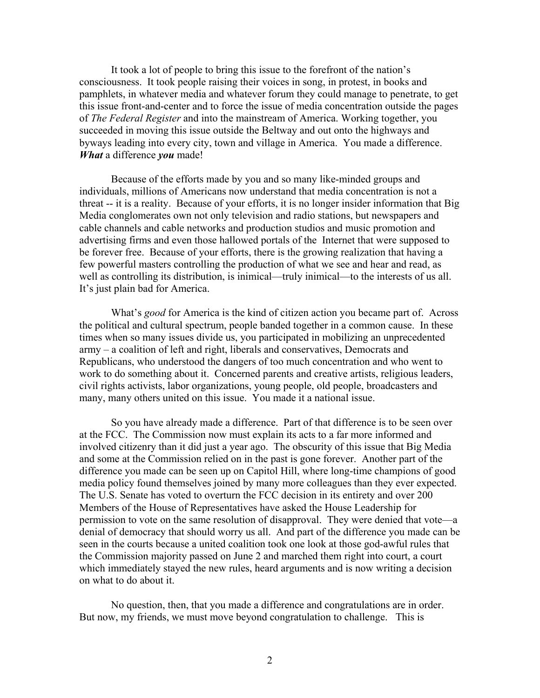It took a lot of people to bring this issue to the forefront of the nation's consciousness. It took people raising their voices in song, in protest, in books and pamphlets, in whatever media and whatever forum they could manage to penetrate, to get this issue front-and-center and to force the issue of media concentration outside the pages of *The Federal Register* and into the mainstream of America. Working together, you succeeded in moving this issue outside the Beltway and out onto the highways and byways leading into every city, town and village in America. You made a difference. *What* a difference *you* made!

Because of the efforts made by you and so many like-minded groups and individuals, millions of Americans now understand that media concentration is not a threat -- it is a reality. Because of your efforts, it is no longer insider information that Big Media conglomerates own not only television and radio stations, but newspapers and cable channels and cable networks and production studios and music promotion and advertising firms and even those hallowed portals of the Internet that were supposed to be forever free. Because of your efforts, there is the growing realization that having a few powerful masters controlling the production of what we see and hear and read, as well as controlling its distribution, is inimical—truly inimical—to the interests of us all. It's just plain bad for America.

What's *good* for America is the kind of citizen action you became part of. Across the political and cultural spectrum, people banded together in a common cause. In these times when so many issues divide us, you participated in mobilizing an unprecedented army – a coalition of left and right, liberals and conservatives, Democrats and Republicans, who understood the dangers of too much concentration and who went to work to do something about it. Concerned parents and creative artists, religious leaders, civil rights activists, labor organizations, young people, old people, broadcasters and many, many others united on this issue. You made it a national issue.

So you have already made a difference. Part of that difference is to be seen over at the FCC. The Commission now must explain its acts to a far more informed and involved citizenry than it did just a year ago. The obscurity of this issue that Big Media and some at the Commission relied on in the past is gone forever. Another part of the difference you made can be seen up on Capitol Hill, where long-time champions of good media policy found themselves joined by many more colleagues than they ever expected. The U.S. Senate has voted to overturn the FCC decision in its entirety and over 200 Members of the House of Representatives have asked the House Leadership for permission to vote on the same resolution of disapproval. They were denied that vote—a denial of democracy that should worry us all. And part of the difference you made can be seen in the courts because a united coalition took one look at those god-awful rules that the Commission majority passed on June 2 and marched them right into court, a court which immediately stayed the new rules, heard arguments and is now writing a decision on what to do about it.

No question, then, that you made a difference and congratulations are in order. But now, my friends, we must move beyond congratulation to challenge. This is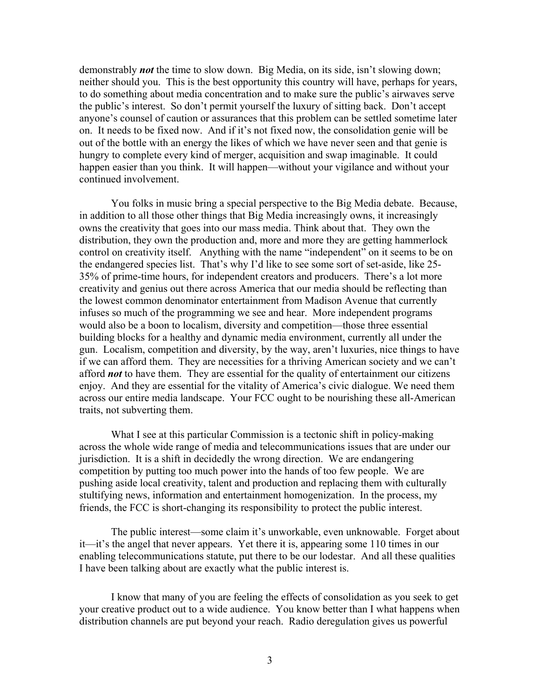demonstrably *not* the time to slow down. Big Media, on its side, isn't slowing down; neither should you. This is the best opportunity this country will have, perhaps for years, to do something about media concentration and to make sure the public's airwaves serve the public's interest. So don't permit yourself the luxury of sitting back. Don't accept anyone's counsel of caution or assurances that this problem can be settled sometime later on. It needs to be fixed now. And if it's not fixed now, the consolidation genie will be out of the bottle with an energy the likes of which we have never seen and that genie is hungry to complete every kind of merger, acquisition and swap imaginable. It could happen easier than you think. It will happen—without your vigilance and without your continued involvement.

You folks in music bring a special perspective to the Big Media debate. Because, in addition to all those other things that Big Media increasingly owns, it increasingly owns the creativity that goes into our mass media. Think about that. They own the distribution, they own the production and, more and more they are getting hammerlock control on creativity itself. Anything with the name "independent" on it seems to be on the endangered species list. That's why I'd like to see some sort of set-aside, like 25- 35% of prime-time hours, for independent creators and producers. There's a lot more creativity and genius out there across America that our media should be reflecting than the lowest common denominator entertainment from Madison Avenue that currently infuses so much of the programming we see and hear. More independent programs would also be a boon to localism, diversity and competition—those three essential building blocks for a healthy and dynamic media environment, currently all under the gun. Localism, competition and diversity, by the way, aren't luxuries, nice things to have if we can afford them. They are necessities for a thriving American society and we can't afford *not* to have them. They are essential for the quality of entertainment our citizens enjoy. And they are essential for the vitality of America's civic dialogue. We need them across our entire media landscape. Your FCC ought to be nourishing these all-American traits, not subverting them.

What I see at this particular Commission is a tectonic shift in policy-making across the whole wide range of media and telecommunications issues that are under our jurisdiction. It is a shift in decidedly the wrong direction. We are endangering competition by putting too much power into the hands of too few people. We are pushing aside local creativity, talent and production and replacing them with culturally stultifying news, information and entertainment homogenization. In the process, my friends, the FCC is short-changing its responsibility to protect the public interest.

The public interest—some claim it's unworkable, even unknowable. Forget about it—it's the angel that never appears. Yet there it is, appearing some 110 times in our enabling telecommunications statute, put there to be our lodestar. And all these qualities I have been talking about are exactly what the public interest is.

I know that many of you are feeling the effects of consolidation as you seek to get your creative product out to a wide audience. You know better than I what happens when distribution channels are put beyond your reach. Radio deregulation gives us powerful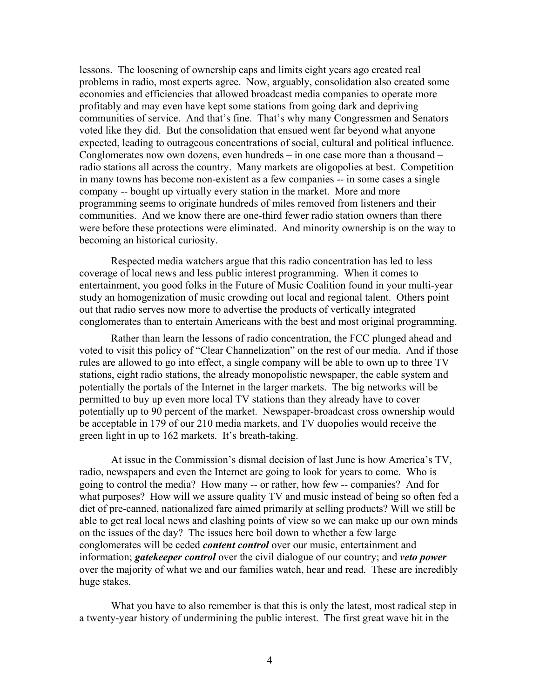lessons. The loosening of ownership caps and limits eight years ago created real problems in radio, most experts agree. Now, arguably, consolidation also created some economies and efficiencies that allowed broadcast media companies to operate more profitably and may even have kept some stations from going dark and depriving communities of service. And that's fine. That's why many Congressmen and Senators voted like they did. But the consolidation that ensued went far beyond what anyone expected, leading to outrageous concentrations of social, cultural and political influence. Conglomerates now own dozens, even hundreds – in one case more than a thousand – radio stations all across the country. Many markets are oligopolies at best. Competition in many towns has become non-existent as a few companies -- in some cases a single company -- bought up virtually every station in the market. More and more programming seems to originate hundreds of miles removed from listeners and their communities. And we know there are one-third fewer radio station owners than there were before these protections were eliminated. And minority ownership is on the way to becoming an historical curiosity.

Respected media watchers argue that this radio concentration has led to less coverage of local news and less public interest programming. When it comes to entertainment, you good folks in the Future of Music Coalition found in your multi-year study an homogenization of music crowding out local and regional talent. Others point out that radio serves now more to advertise the products of vertically integrated conglomerates than to entertain Americans with the best and most original programming.

Rather than learn the lessons of radio concentration, the FCC plunged ahead and voted to visit this policy of "Clear Channelization" on the rest of our media. And if those rules are allowed to go into effect, a single company will be able to own up to three TV stations, eight radio stations, the already monopolistic newspaper, the cable system and potentially the portals of the Internet in the larger markets. The big networks will be permitted to buy up even more local TV stations than they already have to cover potentially up to 90 percent of the market. Newspaper-broadcast cross ownership would be acceptable in 179 of our 210 media markets, and TV duopolies would receive the green light in up to 162 markets. It's breath-taking.

At issue in the Commission's dismal decision of last June is how America's TV, radio, newspapers and even the Internet are going to look for years to come. Who is going to control the media? How many -- or rather, how few -- companies? And for what purposes? How will we assure quality TV and music instead of being so often fed a diet of pre-canned, nationalized fare aimed primarily at selling products? Will we still be able to get real local news and clashing points of view so we can make up our own minds on the issues of the day? The issues here boil down to whether a few large conglomerates will be ceded *content control* over our music, entertainment and information; *gatekeeper control* over the civil dialogue of our country; and *veto power* over the majority of what we and our families watch, hear and read. These are incredibly huge stakes.

What you have to also remember is that this is only the latest, most radical step in a twenty-year history of undermining the public interest. The first great wave hit in the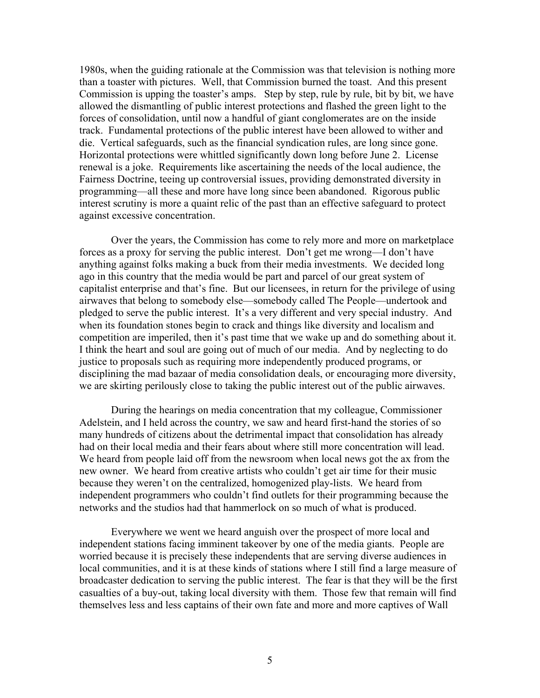1980s, when the guiding rationale at the Commission was that television is nothing more than a toaster with pictures. Well, that Commission burned the toast. And this present Commission is upping the toaster's amps. Step by step, rule by rule, bit by bit, we have allowed the dismantling of public interest protections and flashed the green light to the forces of consolidation, until now a handful of giant conglomerates are on the inside track. Fundamental protections of the public interest have been allowed to wither and die. Vertical safeguards, such as the financial syndication rules, are long since gone. Horizontal protections were whittled significantly down long before June 2. License renewal is a joke. Requirements like ascertaining the needs of the local audience, the Fairness Doctrine, teeing up controversial issues, providing demonstrated diversity in programming—all these and more have long since been abandoned. Rigorous public interest scrutiny is more a quaint relic of the past than an effective safeguard to protect against excessive concentration.

Over the years, the Commission has come to rely more and more on marketplace forces as a proxy for serving the public interest. Don't get me wrong—I don't have anything against folks making a buck from their media investments. We decided long ago in this country that the media would be part and parcel of our great system of capitalist enterprise and that's fine. But our licensees, in return for the privilege of using airwaves that belong to somebody else—somebody called The People—undertook and pledged to serve the public interest. It's a very different and very special industry. And when its foundation stones begin to crack and things like diversity and localism and competition are imperiled, then it's past time that we wake up and do something about it. I think the heart and soul are going out of much of our media. And by neglecting to do justice to proposals such as requiring more independently produced programs, or disciplining the mad bazaar of media consolidation deals, or encouraging more diversity, we are skirting perilously close to taking the public interest out of the public airwaves.

During the hearings on media concentration that my colleague, Commissioner Adelstein, and I held across the country, we saw and heard first-hand the stories of so many hundreds of citizens about the detrimental impact that consolidation has already had on their local media and their fears about where still more concentration will lead. We heard from people laid off from the newsroom when local news got the ax from the new owner. We heard from creative artists who couldn't get air time for their music because they weren't on the centralized, homogenized play-lists. We heard from independent programmers who couldn't find outlets for their programming because the networks and the studios had that hammerlock on so much of what is produced.

Everywhere we went we heard anguish over the prospect of more local and independent stations facing imminent takeover by one of the media giants. People are worried because it is precisely these independents that are serving diverse audiences in local communities, and it is at these kinds of stations where I still find a large measure of broadcaster dedication to serving the public interest. The fear is that they will be the first casualties of a buy-out, taking local diversity with them. Those few that remain will find themselves less and less captains of their own fate and more and more captives of Wall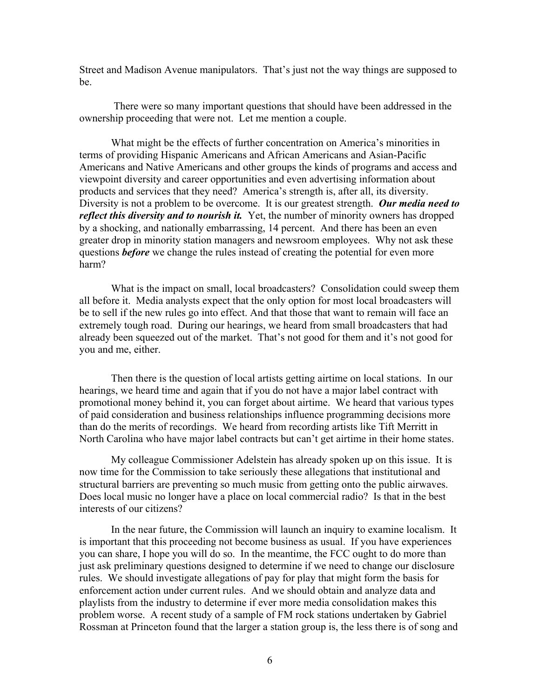Street and Madison Avenue manipulators. That's just not the way things are supposed to be.

 There were so many important questions that should have been addressed in the ownership proceeding that were not. Let me mention a couple.

What might be the effects of further concentration on America's minorities in terms of providing Hispanic Americans and African Americans and Asian-Pacific Americans and Native Americans and other groups the kinds of programs and access and viewpoint diversity and career opportunities and even advertising information about products and services that they need? America's strength is, after all, its diversity. Diversity is not a problem to be overcome. It is our greatest strength. *Our media need to reflect this diversity and to nourish it.* Yet, the number of minority owners has dropped by a shocking, and nationally embarrassing, 14 percent. And there has been an even greater drop in minority station managers and newsroom employees. Why not ask these questions *before* we change the rules instead of creating the potential for even more harm?

What is the impact on small, local broadcasters? Consolidation could sweep them all before it. Media analysts expect that the only option for most local broadcasters will be to sell if the new rules go into effect. And that those that want to remain will face an extremely tough road. During our hearings, we heard from small broadcasters that had already been squeezed out of the market. That's not good for them and it's not good for you and me, either.

Then there is the question of local artists getting airtime on local stations. In our hearings, we heard time and again that if you do not have a major label contract with promotional money behind it, you can forget about airtime. We heard that various types of paid consideration and business relationships influence programming decisions more than do the merits of recordings. We heard from recording artists like Tift Merritt in North Carolina who have major label contracts but can't get airtime in their home states.

My colleague Commissioner Adelstein has already spoken up on this issue. It is now time for the Commission to take seriously these allegations that institutional and structural barriers are preventing so much music from getting onto the public airwaves. Does local music no longer have a place on local commercial radio? Is that in the best interests of our citizens?

In the near future, the Commission will launch an inquiry to examine localism. It is important that this proceeding not become business as usual. If you have experiences you can share, I hope you will do so. In the meantime, the FCC ought to do more than just ask preliminary questions designed to determine if we need to change our disclosure rules. We should investigate allegations of pay for play that might form the basis for enforcement action under current rules. And we should obtain and analyze data and playlists from the industry to determine if ever more media consolidation makes this problem worse. A recent study of a sample of FM rock stations undertaken by Gabriel Rossman at Princeton found that the larger a station group is, the less there is of song and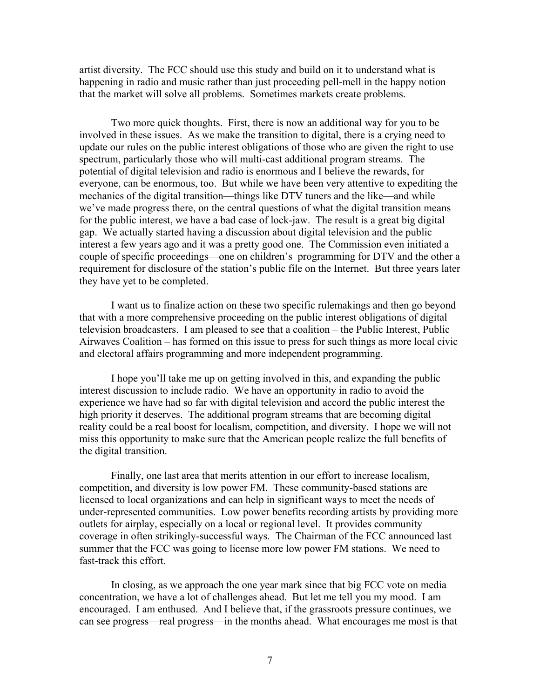artist diversity. The FCC should use this study and build on it to understand what is happening in radio and music rather than just proceeding pell-mell in the happy notion that the market will solve all problems. Sometimes markets create problems.

Two more quick thoughts. First, there is now an additional way for you to be involved in these issues. As we make the transition to digital, there is a crying need to update our rules on the public interest obligations of those who are given the right to use spectrum, particularly those who will multi-cast additional program streams. The potential of digital television and radio is enormous and I believe the rewards, for everyone, can be enormous, too. But while we have been very attentive to expediting the mechanics of the digital transition—things like DTV tuners and the like—and while we've made progress there, on the central questions of what the digital transition means for the public interest, we have a bad case of lock-jaw. The result is a great big digital gap. We actually started having a discussion about digital television and the public interest a few years ago and it was a pretty good one. The Commission even initiated a couple of specific proceedings—one on children's programming for DTV and the other a requirement for disclosure of the station's public file on the Internet. But three years later they have yet to be completed.

I want us to finalize action on these two specific rulemakings and then go beyond that with a more comprehensive proceeding on the public interest obligations of digital television broadcasters. I am pleased to see that a coalition – the Public Interest, Public Airwaves Coalition – has formed on this issue to press for such things as more local civic and electoral affairs programming and more independent programming.

I hope you'll take me up on getting involved in this, and expanding the public interest discussion to include radio. We have an opportunity in radio to avoid the experience we have had so far with digital television and accord the public interest the high priority it deserves. The additional program streams that are becoming digital reality could be a real boost for localism, competition, and diversity. I hope we will not miss this opportunity to make sure that the American people realize the full benefits of the digital transition.

Finally, one last area that merits attention in our effort to increase localism, competition, and diversity is low power FM. These community-based stations are licensed to local organizations and can help in significant ways to meet the needs of under-represented communities. Low power benefits recording artists by providing more outlets for airplay, especially on a local or regional level. It provides community coverage in often strikingly-successful ways. The Chairman of the FCC announced last summer that the FCC was going to license more low power FM stations. We need to fast-track this effort.

In closing, as we approach the one year mark since that big FCC vote on media concentration, we have a lot of challenges ahead. But let me tell you my mood. I am encouraged. I am enthused. And I believe that, if the grassroots pressure continues, we can see progress—real progress—in the months ahead. What encourages me most is that